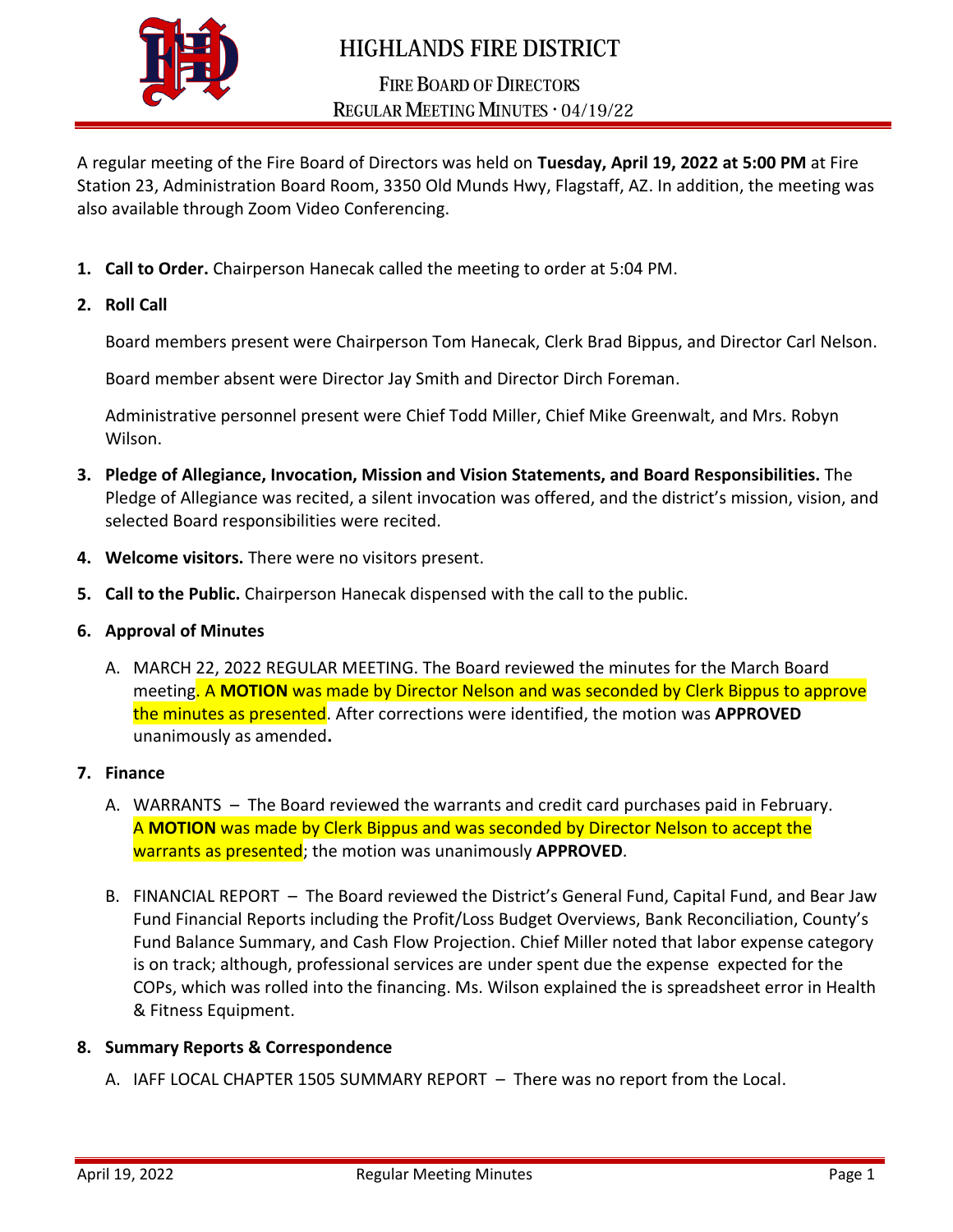

# **HIGHLANDS FIRE DISTRICT**

## **FIRE BOARD OF DIRECTORS** REGULAR MEETING MINUTES . 04/19/22

A regular meeting of the Fire Board of Directors was held on **Tuesday, April 19, 2022 at 5:00 PM** at Fire Station 23, Administration Board Room, 3350 Old Munds Hwy, Flagstaff, AZ. In addition, the meeting was also available through Zoom Video Conferencing.

**1. Call to Order.** Chairperson Hanecak called the meeting to order at 5:04 PM.

#### **2. Roll Call**

Board members present were Chairperson Tom Hanecak, Clerk Brad Bippus, and Director Carl Nelson.

Board member absent were Director Jay Smith and Director Dirch Foreman.

Administrative personnel present were Chief Todd Miller, Chief Mike Greenwalt, and Mrs. Robyn Wilson.

- **3. Pledge of Allegiance, Invocation, Mission and Vision Statements, and Board Responsibilities.** The Pledge of Allegiance was recited, a silent invocation was offered, and the district's mission, vision, and selected Board responsibilities were recited.
- **4. Welcome visitors.** There were no visitors present.
- **5. Call to the Public.** Chairperson Hanecak dispensed with the call to the public.
- **6. Approval of Minutes**
	- A. MARCH 22, 2022 REGULAR MEETING. The Board reviewed the minutes for the March Board meeting. A **MOTION** was made by Director Nelson and was seconded by Clerk Bippus to approve the minutes as presented. After corrections were identified, the motion was **APPROVED** unanimously as amended**.**

#### **7. Finance**

- A. WARRANTS The Board reviewed the warrants and credit card purchases paid in February. A **MOTION** was made by Clerk Bippus and was seconded by Director Nelson to accept the warrants as presented; the motion was unanimously **APPROVED**.
- B. FINANCIAL REPORT The Board reviewed the District's General Fund, Capital Fund, and Bear Jaw Fund Financial Reports including the Profit/Loss Budget Overviews, Bank Reconciliation, County's Fund Balance Summary, and Cash Flow Projection. Chief Miller noted that labor expense category is on track; although, professional services are under spent due the expense expected for the COPs, which was rolled into the financing. Ms. Wilson explained the is spreadsheet error in Health & Fitness Equipment.

#### **8. Summary Reports & Correspondence**

A. IAFF LOCAL CHAPTER 1505 SUMMARY REPORT – There was no report from the Local.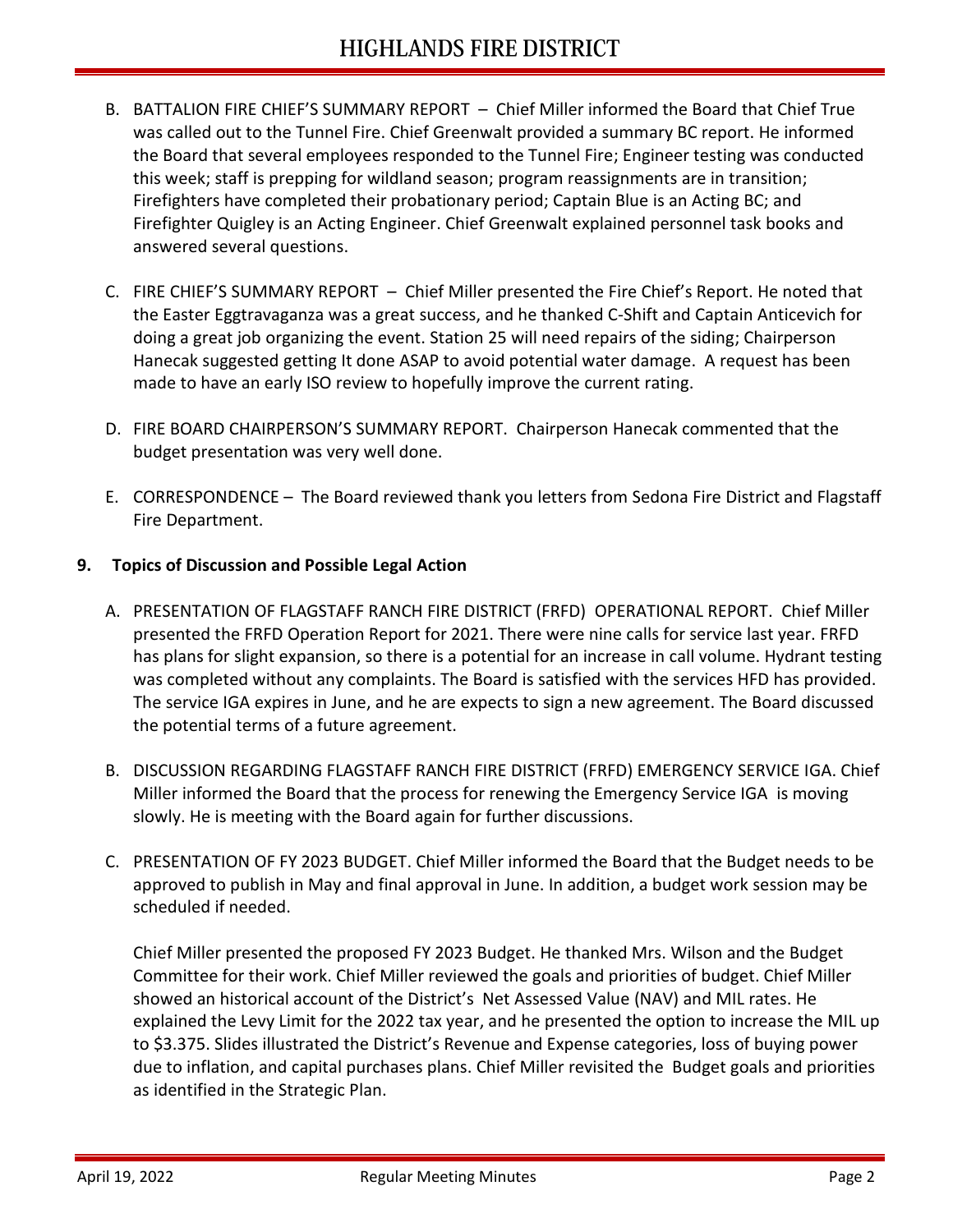- B. BATTALION FIRE CHIEF'S SUMMARY REPORT Chief Miller informed the Board that Chief True was called out to the Tunnel Fire. Chief Greenwalt provided a summary BC report. He informed the Board that several employees responded to the Tunnel Fire; Engineer testing was conducted this week; staff is prepping for wildland season; program reassignments are in transition; Firefighters have completed their probationary period; Captain Blue is an Acting BC; and Firefighter Quigley is an Acting Engineer. Chief Greenwalt explained personnel task books and answered several questions.
- C. FIRE CHIEF'S SUMMARY REPORT Chief Miller presented the Fire Chief's Report. He noted that the Easter Eggtravaganza was a great success, and he thanked C-Shift and Captain Anticevich for doing a great job organizing the event. Station 25 will need repairs of the siding; Chairperson Hanecak suggested getting It done ASAP to avoid potential water damage. A request has been made to have an early ISO review to hopefully improve the current rating.
- D. FIRE BOARD CHAIRPERSON'S SUMMARY REPORT. Chairperson Hanecak commented that the budget presentation was very well done.
- E. CORRESPONDENCE The Board reviewed thank you letters from Sedona Fire District and Flagstaff Fire Department.

### **9. Topics of Discussion and Possible Legal Action**

- A. PRESENTATION OF FLAGSTAFF RANCH FIRE DISTRICT (FRFD) OPERATIONAL REPORT. Chief Miller presented the FRFD Operation Report for 2021. There were nine calls for service last year. FRFD has plans for slight expansion, so there is a potential for an increase in call volume. Hydrant testing was completed without any complaints. The Board is satisfied with the services HFD has provided. The service IGA expires in June, and he are expects to sign a new agreement. The Board discussed the potential terms of a future agreement.
- B. DISCUSSION REGARDING FLAGSTAFF RANCH FIRE DISTRICT (FRFD) EMERGENCY SERVICE IGA. Chief Miller informed the Board that the process for renewing the Emergency Service IGA is moving slowly. He is meeting with the Board again for further discussions.
- C. PRESENTATION OF FY 2023 BUDGET. Chief Miller informed the Board that the Budget needs to be approved to publish in May and final approval in June. In addition, a budget work session may be scheduled if needed.

Chief Miller presented the proposed FY 2023 Budget. He thanked Mrs. Wilson and the Budget Committee for their work. Chief Miller reviewed the goals and priorities of budget. Chief Miller showed an historical account of the District's Net Assessed Value (NAV) and MIL rates. He explained the Levy Limit for the 2022 tax year, and he presented the option to increase the MIL up to \$3.375. Slides illustrated the District's Revenue and Expense categories, loss of buying power due to inflation, and capital purchases plans. Chief Miller revisited the Budget goals and priorities as identified in the Strategic Plan.